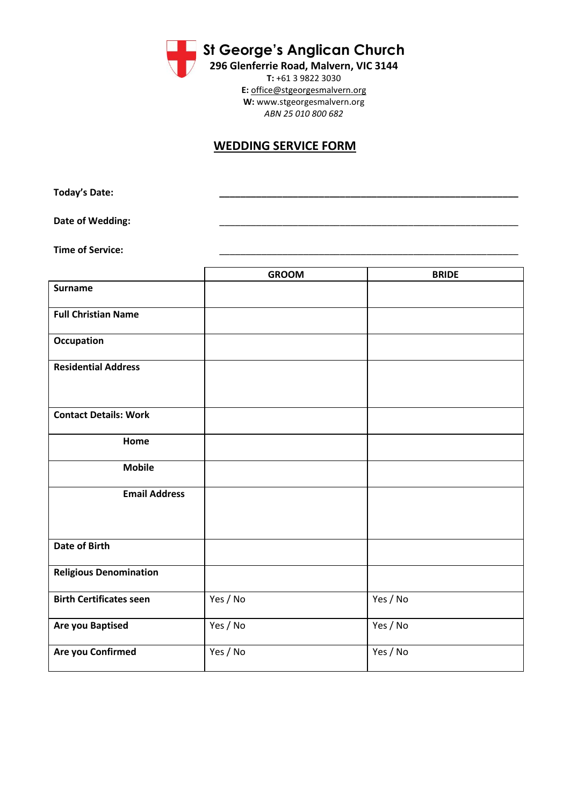**St George's Anglican Church**

**296 Glenferrie Road, Malvern, VIC 3144 T:** +61 3 9822 3030 **E:** [office@stgeorgesmalvern.org](mailto:office@stgeorgesmalvern.org) **W:** www.stgeorgesmalvern.org *ABN 25 010 800 682*

## **WEDDING SERVICE FORM**

**Today's Date: \_\_\_\_\_\_\_\_\_\_\_\_\_\_\_\_\_\_\_\_\_\_\_\_\_\_\_\_\_\_\_\_\_\_\_\_\_\_\_\_\_\_\_\_\_\_\_\_\_\_\_\_\_\_\_\_\_**

Date of Wedding:

**Time of Service:** 

|                                | <b>GROOM</b> | <b>BRIDE</b> |
|--------------------------------|--------------|--------------|
| <b>Surname</b>                 |              |              |
| <b>Full Christian Name</b>     |              |              |
| <b>Occupation</b>              |              |              |
| <b>Residential Address</b>     |              |              |
| <b>Contact Details: Work</b>   |              |              |
| Home                           |              |              |
| <b>Mobile</b>                  |              |              |
| <b>Email Address</b>           |              |              |
| <b>Date of Birth</b>           |              |              |
| <b>Religious Denomination</b>  |              |              |
| <b>Birth Certificates seen</b> | Yes / No     | Yes / No     |
| <b>Are you Baptised</b>        | Yes / No     | Yes / No     |
| Are you Confirmed              | Yes / No     | Yes / No     |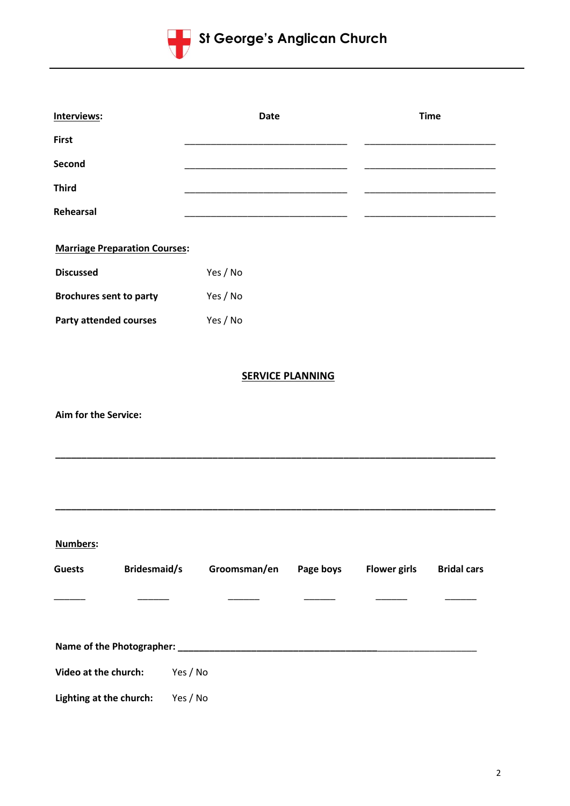

| Interviews:                          |              | <b>Date</b> |                         | <b>Time</b>         |                    |
|--------------------------------------|--------------|-------------|-------------------------|---------------------|--------------------|
| <b>First</b>                         |              |             |                         |                     |                    |
| Second                               |              |             |                         |                     |                    |
| <b>Third</b>                         |              |             |                         |                     |                    |
| Rehearsal                            |              |             |                         |                     |                    |
| <b>Marriage Preparation Courses:</b> |              |             |                         |                     |                    |
| <b>Discussed</b>                     | Yes / No     |             |                         |                     |                    |
| <b>Brochures sent to party</b>       | Yes / No     |             |                         |                     |                    |
| <b>Party attended courses</b>        | Yes / No     |             |                         |                     |                    |
|                                      |              |             |                         |                     |                    |
|                                      |              |             | <b>SERVICE PLANNING</b> |                     |                    |
| <b>Aim for the Service:</b>          |              |             |                         |                     |                    |
|                                      |              |             |                         |                     |                    |
| <b>Numbers:</b>                      |              |             |                         |                     |                    |
| <b>Bridesmaid/s</b><br><b>Guests</b> | Groomsman/en |             | Page boys               | <b>Flower girls</b> | <b>Bridal cars</b> |
|                                      |              |             |                         |                     |                    |
|                                      |              |             |                         |                     |                    |
| Video at the church:                 | Yes / No     |             |                         |                     |                    |
| Lighting at the church:              | Yes / No     |             |                         |                     |                    |